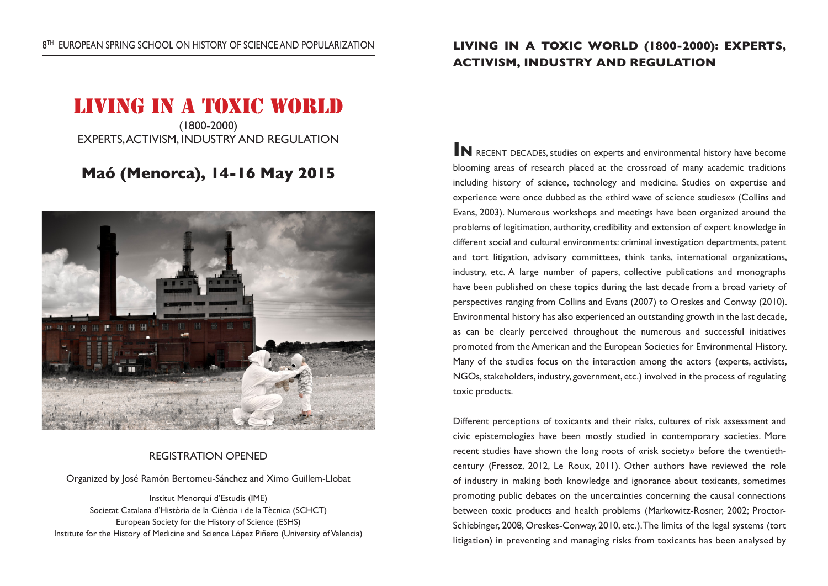# LIVING IN A TOXIC WORLD

(1800-2000) EXPERTS, ACTIVISM, INDUSTRY AND REGULATION

## **Maó (Menorca), 14-16 May 2015**



#### REGISTRATION OPENED

Organized by José Ramón Bertomeu-Sánchez and Ximo Guillem-Llobat

Institut Menorquí d'Estudis (IME) Societat Catalana d'Història de la Ciència i de la Tècnica (SCHCT) European Society for the History of Science (ESHS) Institute for the History of Medicine and Science López Piñero (University of Valencia)

### **LIVING IN A TOXIC WORLD (1800-2000): EXPERTS, ACTIVISM, INDUSTRY AND REGULATION**

**IN** RECENT DECADES. studies on experts and environmental history have become blooming areas of research placed at the crossroad of many academic traditions including history of science, technology and medicine. Studies on expertise and experience were once dubbed as the «third wave of science studies«» (Collins and Evans, 2003). Numerous workshops and meetings have been organized around the problems of legitimation, authority, credibility and extension of expert knowledge in different social and cultural environments: criminal investigation departments, patent and tort litigation, advisory committees, think tanks, international organizations, industry, etc. A large number of papers, collective publications and monographs have been published on these topics during the last decade from a broad variety of perspectives ranging from Collins and Evans (2007) to Oreskes and Conway (2010). Environmental history has also experienced an outstanding growth in the last decade, as can be clearly perceived throughout the numerous and successful initiatives promoted from the American and the European Societies for Environmental History. Many of the studies focus on the interaction among the actors (experts, activists, NGOs, stakeholders, industry, government, etc.) involved in the process of regulating toxic products.

Different perceptions of toxicants and their risks, cultures of risk assessment and civic epistemologies have been mostly studied in contemporary societies. More recent studies have shown the long roots of «risk society» before the twentiethcentury (Fressoz, 2012, Le Roux, 2011). Other authors have reviewed the role of industry in making both knowledge and ignorance about toxicants, sometimes promoting public debates on the uncertainties concerning the causal connections between toxic products and health problems (Markowitz-Rosner, 2002; Proctor-Schiebinger, 2008, Oreskes-Conway, 2010, etc.). The limits of the legal systems (tort litigation) in preventing and managing risks from toxicants has been analysed by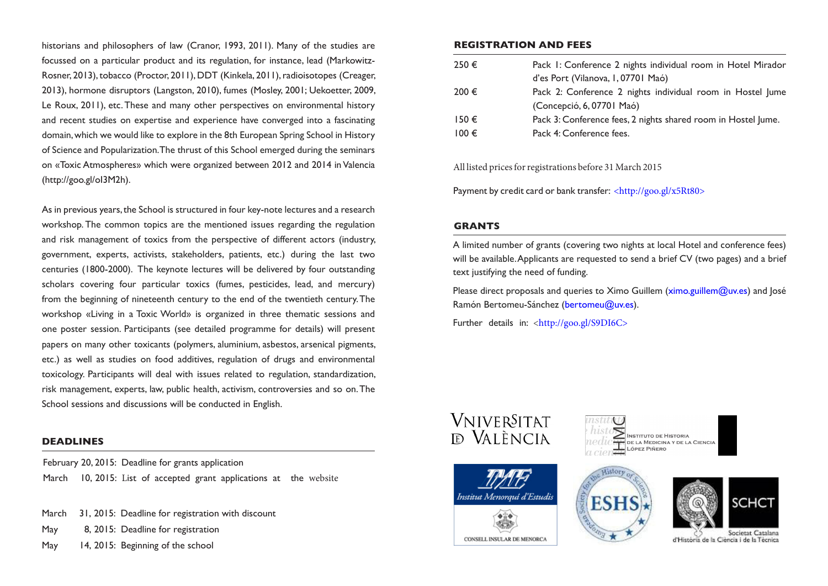historians and philosophers of law (Cranor, 1993, 2011). Many of the studies are focussed on a particular product and its regulation, for instance, lead (Markowitz-Rosner, 2013), tobacco (Proctor, 2011), DDT (Kinkela, 2011), radioisotopes (Creager, 2013), hormone disruptors (Langston, 2010), fumes (Mosley, 2001; Uekoetter, 2009, Le Roux, 2011), etc. These and many other perspectives on environmental history and recent studies on expertise and experience have converged into a fascinating domain, which we would like to explore in the 8th European Spring School in History of Science and Popularization. The thrust of this School emerged during the seminars on «Toxic Atmospheres» which were organized between 2012 and 2014 in Valencia (http://goo.gl/oI3M2h).

As in previous years, the School is structured in four key-note lectures and a research workshop. The common topics are the mentioned issues regarding the regulation and risk management of toxics from the perspective of different actors (industry, government, experts, activists, stakeholders, patients, etc.) during the last two centuries (1800-2000). The keynote lectures will be delivered by four outstanding scholars covering four particular toxics (fumes, pesticides, lead, and mercury) from the beginning of nineteenth century to the end of the twentieth century. The workshop «Living in a Toxic World» is organized in three thematic sessions and one poster session. Participants (see detailed programme for details) will present papers on many other toxicants (polymers, aluminium, asbestos, arsenical pigments, etc.) as well as studies on food additives, regulation of drugs and environmental toxicology. Participants will deal with issues related to regulation, standardization, risk management, experts, law, public health, activism, controversies and so on. The School sessions and discussions will be conducted in English.

#### **DEADLINES**

February 20, 2015: Deadline for grants application March 10, 2015: List of accepted grant applications at the website

- March 31, 2015: Deadline for registration with discount
- May 8, 2015: Deadline for registration
- May 14, 2015: Beginning of the school

#### **REGISTRATION AND FEES**

| 250€      | Pack 1: Conference 2 nights individual room in Hotel Mirador  |
|-----------|---------------------------------------------------------------|
|           | d'es Port (Vilanova, I, 0770   Maó)                           |
| 200 €     | Pack 2: Conference 2 nights individual room in Hostel Jume    |
|           | (Concepció, 6, 07701 Maó)                                     |
| $150 \in$ | Pack 3: Conference fees, 2 nights shared room in Hostel Jume. |
| $100 \in$ | Pack 4: Conference fees.                                      |
|           |                                                               |

All listed prices for registrations before 31 March 2015

Payment by credit card or bank transfer: <http://goo.gl/x5Rt80>

#### **GRANTS**

A limited number of grants (covering two nights at local Hotel and conference fees) will be available. Applicants are requested to send a brief CV (two pages) and a brief text justifying the need of funding.

Please direct proposals and queries to Ximo Guillem (ximo.guillem@uv.es) and losé Ramón Bertomeu-Sánchez (bertomeu@uv.es).

Wistory

**ESHS** 

Further details in: <http://goo.gl/S9DI6C>









ria de la Ciència i de la Tecnica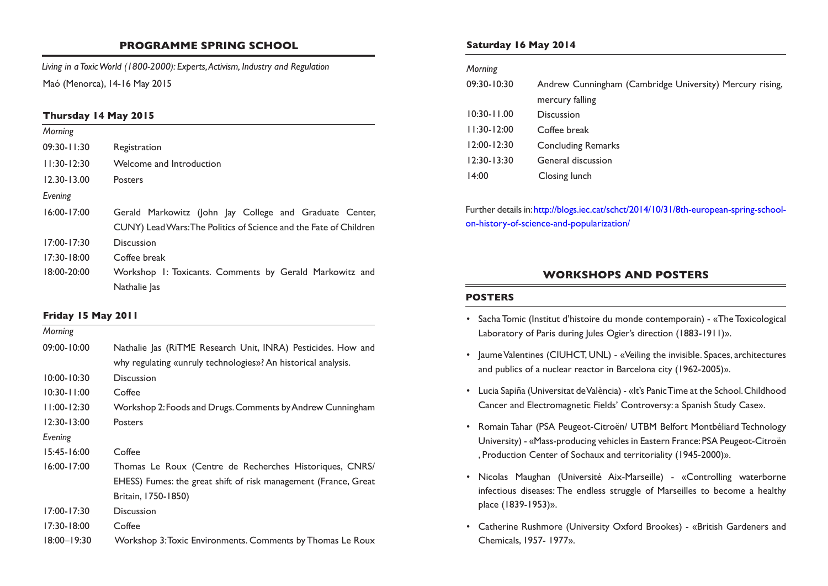#### **PROGRAMME SPRING SCHOOL**

*Living in a Toxic World (1800-2000): Experts, Activism, Industry and Regulation* Maó (Menorca), 14-16 May 2015

#### **Thursday 14 May 2015**

| Morning         |                                                                   |  |  |
|-----------------|-------------------------------------------------------------------|--|--|
| $09:30 - 11:30$ | Registration                                                      |  |  |
| $11:30-12:30$   | Welcome and Introduction                                          |  |  |
| $12.30 - 13.00$ | <b>Posters</b>                                                    |  |  |
| Evening         |                                                                   |  |  |
| $16:00 - 17:00$ | Gerald Markowitz (John Jay College and Graduate Center,           |  |  |
|                 | CUNY) Lead Wars: The Politics of Science and the Fate of Children |  |  |
| $17:00 - 17:30$ | Discussion                                                        |  |  |
| $17:30 - 18:00$ | Coffee break                                                      |  |  |
| $18:00 - 20:00$ | Workshop I: Toxicants. Comments by Gerald Markowitz and           |  |  |
|                 | Nathalie las                                                      |  |  |

#### **Friday 15 May 2011**

| Morning         |                                                                 |  |  |  |
|-----------------|-----------------------------------------------------------------|--|--|--|
| $09:00 - 10:00$ | Nathalie Jas (RiTME Research Unit, INRA) Pesticides. How and    |  |  |  |
|                 | why regulating «unruly technologies»? An historical analysis.   |  |  |  |
| $10:00 - 10:30$ | <b>Discussion</b>                                               |  |  |  |
| $10:30 - 11:00$ | Coffee                                                          |  |  |  |
| $11:00 - 12:30$ | Workshop 2: Foods and Drugs. Comments by Andrew Cunningham      |  |  |  |
| $12:30 - 13:00$ | <b>Posters</b>                                                  |  |  |  |
| Evening         |                                                                 |  |  |  |
| $15:45 - 16:00$ | Coffee                                                          |  |  |  |
| $16:00 - 17:00$ | Thomas Le Roux (Centre de Recherches Historiques, CNRS/         |  |  |  |
|                 | EHESS) Fumes: the great shift of risk management (France, Great |  |  |  |
|                 | Britain, 1750-1850)                                             |  |  |  |
| $17:00 - 17:30$ | <b>Discussion</b>                                               |  |  |  |
| $17:30 - 18:00$ | Coffee                                                          |  |  |  |
| $18:00 - 19:30$ | Workshop 3: Toxic Environments. Comments by Thomas Le Roux      |  |  |  |

#### **Saturday 16 May 2014**

#### *Morning*

| $09:30 - 10:30$ | Andrew Cunningham (Cambridge University) Mercury rising, |
|-----------------|----------------------------------------------------------|
|                 | mercury falling                                          |
| $10:30 - 11.00$ | Discussion                                               |
| $11:30-12:00$   | Coffee break                                             |
| $12:00 - 12:30$ | <b>Concluding Remarks</b>                                |
| $12:30 - 13:30$ | General discussion                                       |
| 14:00           | Closing lunch                                            |
|                 |                                                          |

Further details in: http://blogs.iec.cat/schct/2014/10/31/8th-european-spring-schoolon-history-of-science-and-popularization/

#### **WORKSHOPS AND POSTERS**

#### **POSTERS**

- Sacha Tomic (Institut d'histoire du monde contemporain) «The Toxicological Laboratory of Paris during Jules Ogier's direction (1883-1911)».
- Jaume Valentines (CIUHCT, UNL) «Veiling the invisible. Spaces, architectures and publics of a nuclear reactor in Barcelona city (1962-2005)».
- Lucia Sapiña (Universitat de València) «It's Panic Time at the School. Childhood Cancer and Electromagnetic Fields' Controversy: a Spanish Study Case».
- Romain Tahar (PSA Peugeot-Citroën/ UTBM Belfort Montbéliard Technology University) - «Mass-producing vehicles in Eastern France: PSA Peugeot-Citroën , Production Center of Sochaux and territoriality (1945-2000)».
- Nicolas Maughan (Université Aix-Marseille) «Controlling waterborne infectious diseases: The endless struggle of Marseilles to become a healthy place (1839-1953)».
- Catherine Rushmore (University Oxford Brookes) «British Gardeners and Chemicals, 1957- 1977».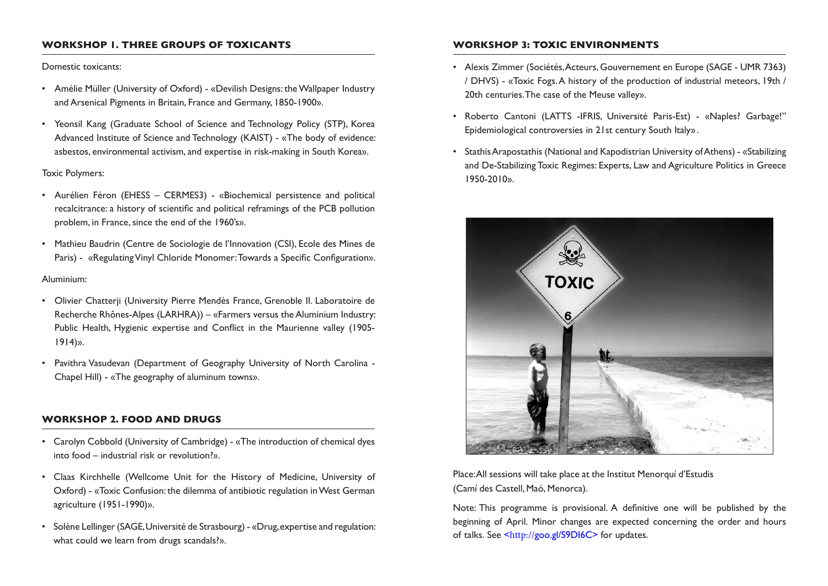#### **WORKSHOP 1. THREE GROUPS OF TOXICANTS**

#### Domestic toxicants:

- Amélie Müller (University of Oxford) «Devilish Designs: the Wallpaper Industry and Arsenical Pigments in Britain, France and Germany, 1850-1900».
- Yeonsil Kang (Graduate School of Science and Technology Policy (STP), Korea Advanced Institute of Science and Technology (KAIST) - «The body of evidence: asbestos, environmental activism, and expertise in risk-making in South Korea».

#### Toxic Polymers:

- Aurélien Féron (EHESS CERMES3) «Biochemical persistence and political recalcitrance: a history of scientific and political reframings of the PCB pollution problem, in France, since the end of the 1960's».
- Mathieu Baudrin (Centre de Sociologie de l'Innovation (CSI), Ecole des Mines de Paris) - «Regulating Vinyl Chloride Monomer: Towards a Specific Configuration».

#### Aluminium:

- Olivier Chatterji (University Pierre Mendès France, Grenoble II. Laboratoire de Recherche Rhônes-Alpes (LARHRA)) – «Farmers versus the Aluminium Industry: Public Health, Hygienic expertise and Conflict in the Maurienne valley (1905- 1914)».
- Pavithra Vasudevan (Department of Geography University of North Carolina Chapel Hill) - «The geography of aluminum towns».

#### **WORKSHOP 2. FOOD AND DRUGS**

- Carolyn Cobbold (University of Cambridge) «The introduction of chemical dyes into food – industrial risk or revolution?».
- Claas Kirchhelle (Wellcome Unit for the History of Medicine, University of Oxford) - «Toxic Confusion: the dilemma of antibiotic regulation in West German agriculture (1951-1990)».
- Solène Lellinger (SAGE, Université de Strasbourg) «Drug, expertise and regulation: what could we learn from drugs scandals?».

#### **WORKSHOP 3: TOXIC ENVIRONMENTS**

- Alexis Zimmer (Sociétés, Acteurs, Gouvernement en Europe (SAGE UMR 7363) / DHVS) - «Toxic Fogs. A history of the production of industrial meteors, 19th / 20th centuries. The case of the Meuse valley».
- Roberto Cantoni (LATTS -IFRIS, Université Paris-Est) «Naples? Garbage!" Epidemiological controversies in 21st century South Italy» .
- Stathis Arapostathis (National and Kapodistrian University of Athens) «Stabilizing and De-Stabilizing Toxic Regimes: Experts, Law and Agriculture Politics in Greece 1950-2010».



#### Place: All sessions will take place at the Institut Menorquí d'Estudis (Camí des Castell, Maó, Menorca).

Note: This programme is provisional. A definitive one will be published by the beginning of April. Minor changes are expected concerning the order and hours of talks. See <http://goo.gl/S9DI6C> for updates.